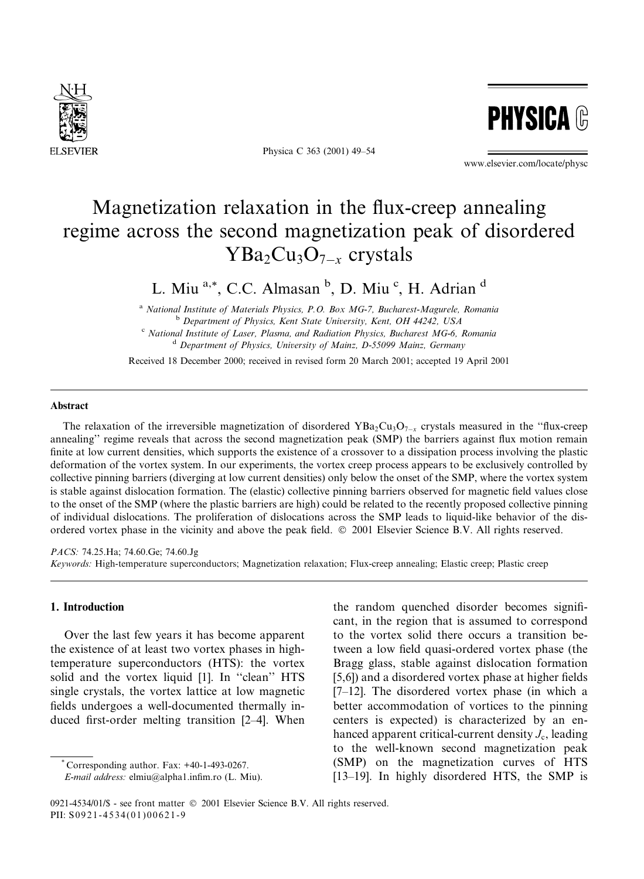

Physica C 363 (2001) 49-54



www.elsevier.com/locate/physc

# Magnetization relaxation in the flux-creep annealing regime across the second magnetization peak of disordered  $YBa<sub>2</sub>Cu<sub>3</sub>O<sub>7-x</sub>$  crystals

L. Miu<sup>a,\*</sup>, C.C. Almasan<sup>b</sup>, D. Miu<sup>c</sup>, H. Adrian<sup>d</sup>

<sup>a</sup> National Institute of Materials Physics, P.O. Box MG-7, Bucharest-Magurele, Romania <sup>b</sup> Department of Physics, Kent State University, Kent, OH 44242, USA  $\degree$  National Institute of Laser, Plasma, and Radiation Physics, Bucharest MG-6, Romania <sup>d</sup> Department of Physics, University of Mainz, D-55099 Mainz, Germany

Received 18 December 2000: received in revised form 20 March 2001: accepted 19 April 2001

## Abstract

The relaxation of the irreversible magnetization of disordered YBa<sub>2</sub>Cu<sub>3</sub>O<sub>7-x</sub> crystals measured in the "flux-creep" annealing" regime reveals that across the second magnetization peak (SMP) the barriers against flux motion remain finite at low current densities, which supports the existence of a crossover to a dissipation process involving the plastic deformation of the vortex system. In our experiments, the vortex creep process appears to be exclusively controlled by collective pinning barriers (diverging at low current densities) only below the onset of the SMP, where the vortex system is stable against dislocation formation. The (elastic) collective pinning barriers observed for magnetic field values close to the onset of the SMP (where the plastic barriers are high) could be related to the recently proposed collective pinning of individual dislocations. The proliferation of dislocations across the SMP leads to liquid-like behavior of the disordered vortex phase in the vicinity and above the peak field.  $\odot$  2001 Elsevier Science B.V. All rights reserved.

PACS: 74.25.Ha; 74.60.Ge; 74.60.Jg Keywords: High-temperature superconductors; Magnetization relaxation; Flux-creep annealing; Elastic creep; Plastic creep

# 1. Introduction

Over the last few years it has become apparent the existence of at least two vortex phases in hightemperature superconductors (HTS): the vortex solid and the vortex liquid [1]. In "clean" HTS single crystals, the vortex lattice at low magnetic fields undergoes a well-documented thermally induced first-order melting transition [2-4]. When

Corresponding author. Fax: +40-1-493-0267.

the random quenched disorder becomes significant, in the region that is assumed to correspond to the vortex solid there occurs a transition between a low field quasi-ordered vortex phase (the Bragg glass, stable against dislocation formation [5,6]) and a disordered vortex phase at higher fields  $[7-12]$ . The disordered vortex phase (in which a better accommodation of vortices to the pinning centers is expected) is characterized by an enhanced apparent critical-current density  $J_c$ , leading to the well-known second magnetization peak (SMP) on the magnetization curves of HTS [13-19]. In highly disordered HTS, the SMP is

E-mail address: elmiu@alpha1.infim.ro (L. Miu).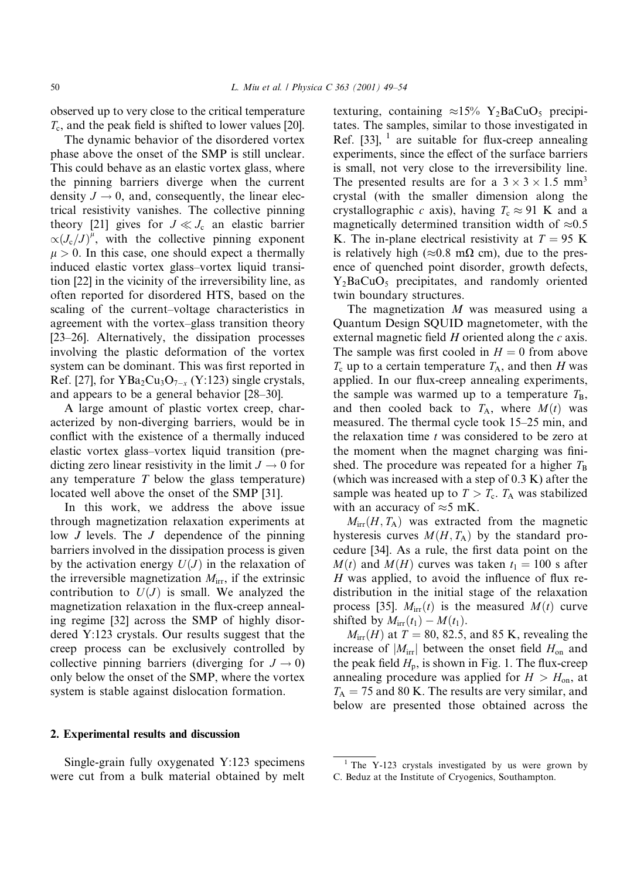observed up to very close to the critical temperature  $T_c$ , and the peak field is shifted to lower values [20].

The dynamic behavior of the disordered vortex phase above the onset of the SMP is still unclear. This could behave as an elastic vortex glass, where the pinning barriers diverge when the current density  $J \rightarrow 0$ , and, consequently, the linear electrical resistivity vanishes. The collective pinning theory [21] gives for  $J \ll J_c$  an elastic barrier  $\alpha (J_c/J)^{\mu}$ , with the collective pinning exponent  $\mu > 0$ . In this case, one should expect a thermally induced elastic vortex glass-vortex liquid transition [22] in the vicinity of the irreversibility line, as often reported for disordered HTS, based on the scaling of the current-voltage characteristics in agreement with the vortex-glass transition theory [23–26]. Alternatively, the dissipation processes involving the plastic deformation of the vortex system can be dominant. This was first reported in Ref. [27], for  $YBa<sub>2</sub>Cu<sub>3</sub>O<sub>7-x</sub> (Y:123)$  single crystals, and appears to be a general behavior [28–30].

A large amount of plastic vortex creep, characterized by non-diverging barriers, would be in conflict with the existence of a thermally induced elastic vortex glass-vortex liquid transition (predicting zero linear resistivity in the limit  $J \rightarrow 0$  for any temperature  $T$  below the glass temperature) located well above the onset of the SMP [31].

In this work, we address the above issue through magnetization relaxation experiments at low  $J$  levels. The  $J$  dependence of the pinning barriers involved in the dissipation process is given by the activation energy  $U(J)$  in the relaxation of the irreversible magnetization  $M_{irr}$ , if the extrinsic contribution to  $U(J)$  is small. We analyzed the magnetization relaxation in the flux-creep annealing regime [32] across the SMP of highly disordered Y:123 crystals. Our results suggest that the creep process can be exclusively controlled by collective pinning barriers (diverging for  $J \rightarrow 0$ ) only below the onset of the SMP, where the vortex system is stable against dislocation formation.

#### 2. Experimental results and discussion

Single-grain fully oxygenated Y:123 specimens were cut from a bulk material obtained by melt texturing, containing  $\approx 15\%$  Y<sub>2</sub>BaCuO<sub>5</sub> precipitates. The samples, similar to those investigated in Ref. [33],  $\frac{1}{1}$  are suitable for flux-creep annealing experiments, since the effect of the surface barriers is small, not very close to the irreversibility line. The presented results are for a  $3 \times 3 \times 1.5$  mm<sup>3</sup> crystal (with the smaller dimension along the crystallographic c axis), having  $T_c \approx 91$  K and a magnetically determined transition width of  $\approx 0.5$ K. The in-plane electrical resistivity at  $T = 95$  K is relatively high ( $\approx 0.8$  m $\Omega$  cm), due to the presence of quenched point disorder, growth defects,  $Y_2BaCuO<sub>5</sub>$  precipitates, and randomly oriented twin boundary structures.

The magnetization  $M$  was measured using a Quantum Design SQUID magnetometer, with the external magnetic field  $H$  oriented along the  $c$  axis. The sample was first cooled in  $H = 0$  from above  $T_c$  up to a certain temperature  $T_A$ , and then H was applied. In our flux-creep annealing experiments, the sample was warmed up to a temperature  $T_{\rm B}$ , and then cooled back to  $T_A$ , where  $M(t)$  was measured. The thermal cycle took 15–25 min, and the relaxation time t was considered to be zero at the moment when the magnet charging was finished. The procedure was repeated for a higher  $T_B$ (which was increased with a step of  $0.3$  K) after the sample was heated up to  $T > T_c$ .  $T_A$  was stabilized with an accuracy of  $\approx$ 5 mK.

 $M_{irr}(H, T_A)$  was extracted from the magnetic hysteresis curves  $M(H, T_A)$  by the standard procedure [34]. As a rule, the first data point on the  $M(t)$  and  $M(H)$  curves was taken  $t_1 = 100$  s after  $H$  was applied, to avoid the influence of flux redistribution in the initial stage of the relaxation process [35].  $M_{irr}(t)$  is the measured  $M(t)$  curve shifted by  $M_{irr}(t_1) - M(t_1)$ .

 $M_{irr}(H)$  at  $T = 80, 82.5,$  and 85 K, revealing the increase of  $|M_{irr}|$  between the onset field  $H_{on}$  and the peak field  $H<sub>n</sub>$ , is shown in Fig. 1. The flux-creep annealing procedure was applied for  $H > H_{on}$ , at  $T_A = 75$  and 80 K. The results are very similar, and below are presented those obtained across the

<sup>&</sup>lt;sup>1</sup> The Y-123 crystals investigated by us were grown by C. Beduz at the Institute of Cryogenics, Southampton.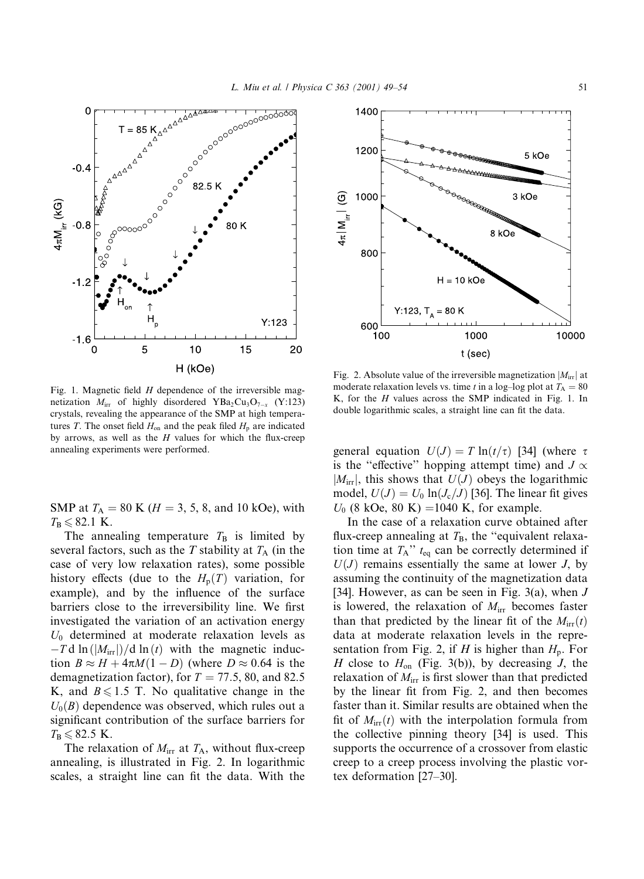

Fig. 1. Magnetic field  $H$  dependence of the irreversible magnetization  $M_{irr}$  of highly disordered YBa<sub>2</sub>Cu<sub>3</sub>O<sub>7-x</sub> (Y:123) crystals, revealing the appearance of the SMP at high temperatures T. The onset field  $H_{on}$  and the peak filed  $H_p$  are indicated by arrows, as well as the  $H$  values for which the flux-creep annealing experiments were performed.

SMP at  $T_A = 80$  K ( $H = 3, 5, 8,$  and 10 kOe), with  $T_{\rm B} \leqslant 82.1$  K.

The annealing temperature  $T_B$  is limited by several factors, such as the T stability at  $T_A$  (in the case of very low relaxation rates), some possible history effects (due to the  $H_p(T)$  variation, for example), and by the influence of the surface barriers close to the irreversibility line. We first investigated the variation of an activation energy  $U_0$  determined at moderate relaxation levels as  $-T d \ln (|M_{irr}|)/d \ln (t)$  with the magnetic induction  $B \approx H + 4\pi M(1 - D)$  (where  $D \approx 0.64$  is the demagnetization factor), for  $T = 77.5$ , 80, and 82.5 K, and  $B \le 1.5$  T. No qualitative change in the  $U_0(B)$  dependence was observed, which rules out a significant contribution of the surface barriers for  $T_{\rm B} \leqslant 82.5$  K.

The relaxation of  $M_{irr}$  at  $T_A$ , without flux-creep annealing, is illustrated in Fig. 2. In logarithmic scales, a straight line can fit the data. With the



Fig. 2. Absolute value of the irreversible magnetization  $|M_{irr}|$  at moderate relaxation levels vs. time t in a log-log plot at  $T_A = 80$ K, for the  $H$  values across the SMP indicated in Fig. 1. In double logarithmic scales, a straight line can fit the data.

general equation  $U(J) = T \ln(t/\tau)$  [34] (where  $\tau$ is the "effective" hopping attempt time) and  $J \propto$  $|M_{irr}|$ , this shows that  $U(J)$  obeys the logarithmic model,  $U(J) = U_0 \ln(J_c/J)$  [36]. The linear fit gives  $U_0$  (8 kOe, 80 K) = 1040 K, for example.

In the case of a relaxation curve obtained after flux-creep annealing at  $T_B$ , the "equivalent relaxation time at  $T_A$ "  $t_{eq}$  can be correctly determined if  $U(J)$  remains essentially the same at lower J, by assuming the continuity of the magnetization data [34]. However, as can be seen in Fig. 3(a), when  $J$ is lowered, the relaxation of  $M_{irr}$  becomes faster than that predicted by the linear fit of the  $M_{irr}(t)$ data at moderate relaxation levels in the representation from Fig. 2, if H is higher than  $H_p$ . For H close to  $H_{\text{on}}$  (Fig. 3(b)), by decreasing J, the relaxation of  $M_{irr}$  is first slower than that predicted by the linear fit from Fig. 2, and then becomes faster than it. Similar results are obtained when the fit of  $M_{irr}(t)$  with the interpolation formula from the collective pinning theory [34] is used. This supports the occurrence of a crossover from elastic creep to a creep process involving the plastic vortex deformation  $[27-30]$ .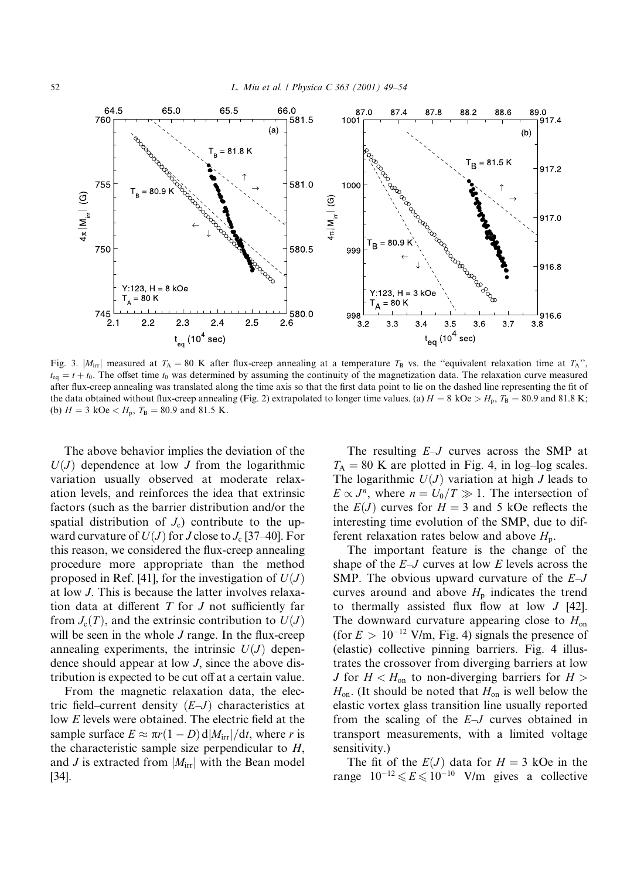

Fig. 3.  $|M_{irr}|$  measured at  $T_A = 80$  K after flux-creep annealing at a temperature  $T_B$  vs. the "equivalent relaxation time at  $T_A$ ",  $t_{eq} = t + t_0$ . The offset time  $t_0$  was determined by assuming the continuity of the magnetization data. The relaxation curve measured after flux-creep annealing was translated along the time axis so that the first data point to lie on the dashed line representing the fit of the data obtained without flux-creep annealing (Fig. 2) extrapolated to longer time values. (a)  $H = 8$  kOe >  $H_p$ ,  $T_B = 80.9$  and 81.8 K; (b)  $H = 3 \text{ kOe} < H_p$ ,  $T_B = 80.9 \text{ and } 81.5 \text{ K}$ .

The above behavior implies the deviation of the  $U(J)$  dependence at low J from the logarithmic variation usually observed at moderate relaxation levels, and reinforces the idea that extrinsic factors (such as the barrier distribution and/or the spatial distribution of  $J_c$ ) contribute to the upward curvature of  $U(J)$  for J close to  $J_c$  [37–40]. For this reason, we considered the flux-creep annealing procedure more appropriate than the method proposed in Ref. [41], for the investigation of  $U(J)$ at low J. This is because the latter involves relaxation data at different  $T$  for  $J$  not sufficiently far from  $J_c(T)$ , and the extrinsic contribution to  $U(J)$ will be seen in the whole J range. In the flux-creep annealing experiments, the intrinsic  $U(J)$  dependence should appear at low  $J$ , since the above distribution is expected to be cut off at a certain value.

From the magnetic relaxation data, the electric field–current density  $(E-J)$  characteristics at low  $E$  levels were obtained. The electric field at the sample surface  $E \approx \pi r (1 - D) d |M_{irr}| / dt$ , where r is the characteristic sample size perpendicular to  $H$ , and J is extracted from  $|M_{irr}|$  with the Bean model  $[34]$ .

The resulting  $E-J$  curves across the SMP at  $T_A = 80$  K are plotted in Fig. 4, in log-log scales. The logarithmic  $U(J)$  variation at high J leads to  $E \propto J^n$ , where  $n = U_0/T \gg 1$ . The intersection of the  $E(J)$  curves for  $H = 3$  and 5 kOe reflects the interesting time evolution of the SMP, due to different relaxation rates below and above  $H_p$ .

The important feature is the change of the shape of the  $E-J$  curves at low E levels across the SMP. The obvious upward curvature of the  $E-J$ curves around and above  $H<sub>p</sub>$  indicates the trend to thermally assisted flux flow at low  $J$  [42]. The downward curvature appearing close to  $H_{on}$ (for  $E > 10^{-12}$  V/m, Fig. 4) signals the presence of (elastic) collective pinning barriers. Fig. 4 illustrates the crossover from diverging barriers at low *J* for  $H < H_{\text{on}}$  to non-diverging barriers for  $H >$  $H_{\text{on}}$ . (It should be noted that  $H_{\text{on}}$  is well below the elastic vortex glass transition line usually reported from the scaling of the  $E-J$  curves obtained in transport measurements, with a limited voltage sensitivity.)

The fit of the  $E(J)$  data for  $H = 3$  kOe in the range  $10^{-12} \le E \le 10^{-10}$  V/m gives a collective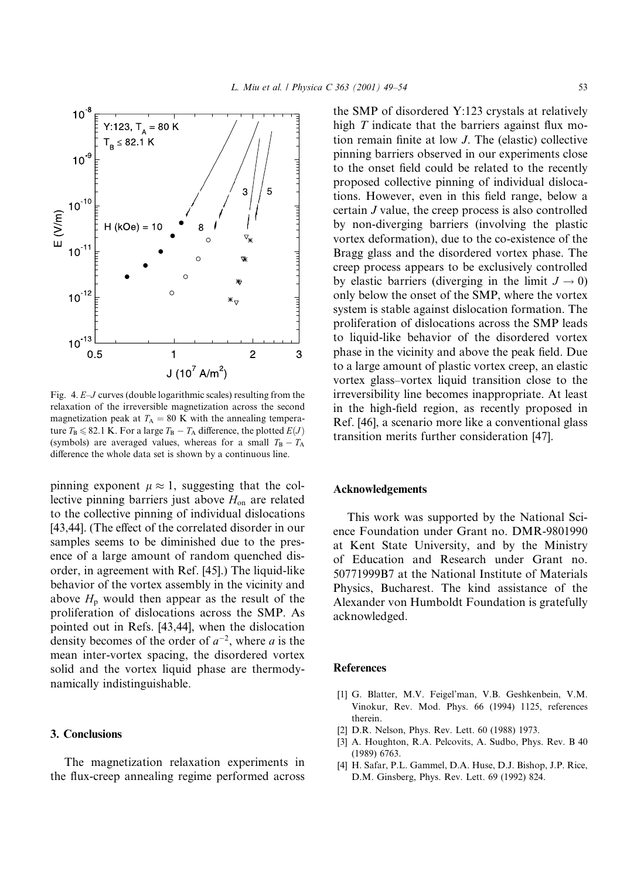

Fig. 4.  $E-J$  curves (double logarithmic scales) resulting from the relaxation of the irreversible magnetization across the second magnetization peak at  $T_A = 80$  K with the annealing temperature  $T_B \le 82.1$  K. For a large  $T_B - T_A$  difference, the plotted  $E(J)$ (symbols) are averaged values, whereas for a small  $T_B - T_A$ difference the whole data set is shown by a continuous line.

pinning exponent  $\mu \approx 1$ , suggesting that the collective pinning barriers just above  $H_{on}$  are related to the collective pinning of individual dislocations [43,44]. (The effect of the correlated disorder in our samples seems to be diminished due to the presence of a large amount of random quenched disorder, in agreement with Ref. [45].) The liquid-like behavior of the vortex assembly in the vicinity and above  $H_p$  would then appear as the result of the proliferation of dislocations across the SMP. As pointed out in Refs. [43,44], when the dislocation density becomes of the order of  $a^{-2}$ , where a is the mean inter-vortex spacing, the disordered vortex solid and the vortex liquid phase are thermodynamically indistinguishable.

# 3. Conclusions

The magnetization relaxation experiments in the flux-creep annealing regime performed across the SMP of disordered Y:123 crystals at relatively high T indicate that the barriers against flux motion remain finite at low J. The (elastic) collective pinning barriers observed in our experiments close to the onset field could be related to the recently proposed collective pinning of individual dislocations. However, even in this field range, below a certain J value, the creep process is also controlled by non-diverging barriers (involving the plastic vortex deformation), due to the co-existence of the Bragg glass and the disordered vortex phase. The creep process appears to be exclusively controlled by elastic barriers (diverging in the limit  $J \rightarrow 0$ ) only below the onset of the SMP, where the vortex system is stable against dislocation formation. The proliferation of dislocations across the SMP leads to liquid-like behavior of the disordered vortex phase in the vicinity and above the peak field. Due to a large amount of plastic vortex creep, an elastic vortex glass-vortex liquid transition close to the irreversibility line becomes inappropriate. At least in the high-field region, as recently proposed in Ref. [46], a scenario more like a conventional glass transition merits further consideration [47].

### **Acknowledgements**

This work was supported by the National Science Foundation under Grant no. DMR-9801990 at Kent State University, and by the Ministry of Education and Research under Grant no. 50771999B7 at the National Institute of Materials Physics, Bucharest. The kind assistance of the Alexander von Humboldt Foundation is gratefully acknowledged.

#### **References**

- [1] G. Blatter, M.V. Feigel'man, V.B. Geshkenbein, V.M. Vinokur, Rev. Mod. Phys. 66 (1994) 1125, references therein
- [2] D.R. Nelson, Phys. Rev. Lett. 60 (1988) 1973.
- [3] A. Houghton, R.A. Pelcovits, A. Sudbo, Phys. Rev. B 40  $(1989)$  6763
- [4] H. Safar, P.L. Gammel, D.A. Huse, D.J. Bishop, J.P. Rice, D.M. Ginsberg, Phys. Rev. Lett. 69 (1992) 824.